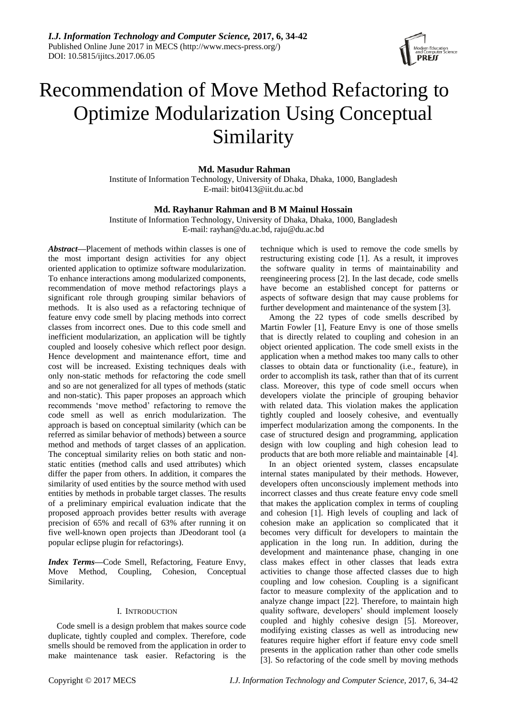

# Recommendation of Move Method Refactoring to Optimize Modularization Using Conceptual Similarity

**Md. Masudur Rahman**

Institute of Information Technology, University of Dhaka, Dhaka, 1000, Bangladesh E-mail: bit0413@iit.du.ac.bd

# **Md. Rayhanur Rahman and B M Mainul Hossain**

Institute of Information Technology, University of Dhaka, Dhaka, 1000, Bangladesh E-mail: rayhan@du.ac.bd, raju@du.ac.bd

*Abstract***—**Placement of methods within classes is one of the most important design activities for any object oriented application to optimize software modularization. To enhance interactions among modularized components, recommendation of move method refactorings plays a significant role through grouping similar behaviors of methods. It is also used as a refactoring technique of feature envy code smell by placing methods into correct classes from incorrect ones. Due to this code smell and inefficient modularization, an application will be tightly coupled and loosely cohesive which reflect poor design. Hence development and maintenance effort, time and cost will be increased. Existing techniques deals with only non-static methods for refactoring the code smell and so are not generalized for all types of methods (static and non-static). This paper proposes an approach which recommends "move method" refactoring to remove the code smell as well as enrich modularization. The approach is based on conceptual similarity (which can be referred as similar behavior of methods) between a source method and methods of target classes of an application. The conceptual similarity relies on both static and nonstatic entities (method calls and used attributes) which differ the paper from others. In addition, it compares the similarity of used entities by the source method with used entities by methods in probable target classes. The results of a preliminary empirical evaluation indicate that the proposed approach provides better results with average precision of 65% and recall of 63% after running it on five well-known open projects than JDeodorant tool (a popular eclipse plugin for refactorings).

*Index Terms***—**Code Smell, Refactoring, Feature Envy, Move Method, Coupling, Cohesion, Conceptual Similarity.

# I. INTRODUCTION

Code smell is a design problem that makes source code duplicate, tightly coupled and complex. Therefore, code smells should be removed from the application in order to make maintenance task easier. Refactoring is the technique which is used to remove the code smells by restructuring existing code [1]. As a result, it improves the software quality in terms of maintainability and reengineering process [2]. In the last decade, code smells have become an established concept for patterns or aspects of software design that may cause problems for further development and maintenance of the system [3].

Among the 22 types of code smells described by Martin Fowler [1], Feature Envy is one of those smells that is directly related to coupling and cohesion in an object oriented application. The code smell exists in the application when a method makes too many calls to other classes to obtain data or functionality (i.e., feature), in order to accomplish its task, rather than that of its current class. Moreover, this type of code smell occurs when developers violate the principle of grouping behavior with related data. This violation makes the application tightly coupled and loosely cohesive, and eventually imperfect modularization among the components. In the case of structured design and programming, application design with low coupling and high cohesion lead to products that are both more reliable and maintainable [4].

In an object oriented system, classes encapsulate internal states manipulated by their methods. However, developers often unconsciously implement methods into incorrect classes and thus create feature envy code smell that makes the application complex in terms of coupling and cohesion [1]. High levels of coupling and lack of cohesion make an application so complicated that it becomes very difficult for developers to maintain the application in the long run. In addition, during the development and maintenance phase, changing in one class makes effect in other classes that leads extra activities to change those affected classes due to high coupling and low cohesion. Coupling is a significant factor to measure complexity of the application and to analyze change impact [22]. Therefore, to maintain high quality software, developers' should implement loosely coupled and highly cohesive design [5]. Moreover, modifying existing classes as well as introducing new features require higher effort if feature envy code smell presents in the application rather than other code smells [3]. So refactoring of the code smell by moving methods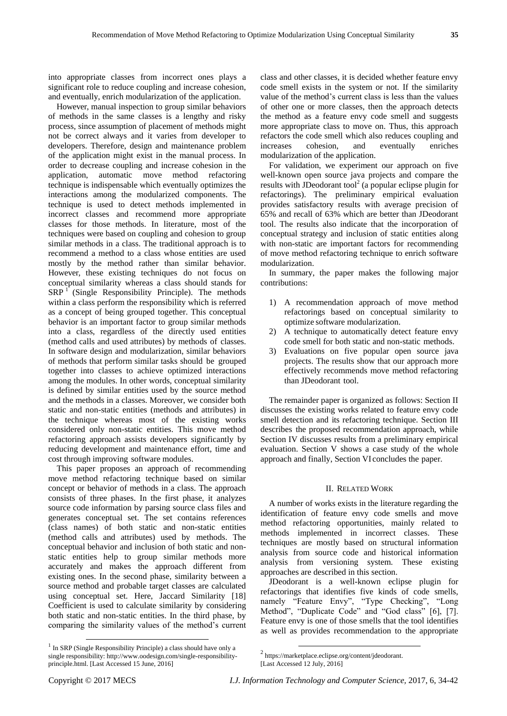into appropriate classes from incorrect ones plays a significant role to reduce coupling and increase cohesion, and eventually, enrich modularization of the application.

However, manual inspection to group similar behaviors of methods in the same classes is a lengthy and risky process, since assumption of placement of methods might not be correct always and it varies from developer to developers. Therefore, design and maintenance problem of the application might exist in the manual process. In order to decrease coupling and increase cohesion in the application, automatic move method refactoring technique is indispensable which eventually optimizes the interactions among the modularized components. The technique is used to detect methods implemented in incorrect classes and recommend more appropriate classes for those methods. In literature, most of the techniques were based on coupling and cohesion to group similar methods in a class. The traditional approach is to recommend a method to a class whose entities are used mostly by the method rather than similar behavior. However, these existing techniques do not focus on conceptual similarity whereas a class should stands for  $SRP<sup>1</sup>$  (Single Responsibility Principle). The methods within a class perform the responsibility which is referred as a concept of being grouped together. This conceptual behavior is an important factor to group similar methods into a class, regardless of the directly used entities (method calls and used attributes) by methods of classes. In software design and modularization, similar behaviors of methods that perform similar tasks should be grouped together into classes to achieve optimized interactions among the modules. In other words, conceptual similarity is defined by similar entities used by the source method and the methods in a classes. Moreover, we consider both static and non-static entities (methods and attributes) in the technique whereas most of the existing works considered only non-static entities. This move method refactoring approach assists developers significantly by reducing development and maintenance effort, time and cost through improving software modules.

This paper proposes an approach of recommending move method refactoring technique based on similar concept or behavior of methods in a class. The approach consists of three phases. In the first phase, it analyzes source code information by parsing source class files and generates conceptual set. The set contains references (class names) of both static and non-static entities (method calls and attributes) used by methods. The conceptual behavior and inclusion of both static and nonstatic entities help to group similar methods more accurately and makes the approach different from existing ones. In the second phase, similarity between a source method and probable target classes are calculated using conceptual set. Here, Jaccard Similarity [18] Coefficient is used to calculate similarity by considering both static and non-static entities. In the third phase, by comparing the similarity values of the method"s current

For validation, we experiment our approach on five well-known open source java projects and compare the results with JDeodorant tool<sup>2</sup> (a popular eclipse plugin for refactorings). The preliminary empirical evaluation provides satisfactory results with average precision of 65% and recall of 63% which are better than JDeodorant tool. The results also indicate that the incorporation of conceptual strategy and inclusion of static entities along with non-static are important factors for recommending of move method refactoring technique to enrich software modularization.

In summary, the paper makes the following major contributions:

- 1) A recommendation approach of move method refactorings based on conceptual similarity to optimize software modularization.
- 2) A technique to automatically detect feature envy code smell for both static and non-static methods.
- 3) Evaluations on five popular open source java projects. The results show that our approach more effectively recommends move method refactoring than JDeodorant tool.

The remainder paper is organized as follows: Section II discusses the existing works related to feature envy code smell detection and its refactoring technique. Section III describes the proposed recommendation approach, while Section IV discusses results from a preliminary empirical evaluation. Section V shows a case study of the whole approach and finally, Section VI concludes the paper.

## II. RELATED WORK

A number of works exists in the literature regarding the identification of feature envy code smells and move method refactoring opportunities, mainly related to methods implemented in incorrect classes. These techniques are mostly based on structural information analysis from source code and historical information analysis from versioning system. These existing approaches are described in this section.

JDeodorant is a well-known eclipse plugin for refactorings that identifies five kinds of code smells, namely "Feature Envy", "Type Checking", "Long Method", "Duplicate Code" and "God class" [6], [7]. Feature envy is one of those smells that the tool identifies as well as provides recommendation to the appropriate

1

-

class and other classes, it is decided whether feature envy code smell exists in the system or not. If the similarity value of the method"s current class is less than the values of other one or more classes, then the approach detects the method as a feature envy code smell and suggests more appropriate class to move on. Thus, this approach refactors the code smell which also reduces coupling and increases cohesion, and eventually enriches modularization of the application.

 $1$  In SRP (Single Responsibility Principle) a class should have only a single responsibility: http://www.oodesign.com/single-responsibilityprinciple.html. [Last Accessed 15 June, 2016]

<sup>2</sup> https://marketplace.eclipse.org/content/jdeodorant.

<sup>[</sup>Last Accessed 12 July, 2016]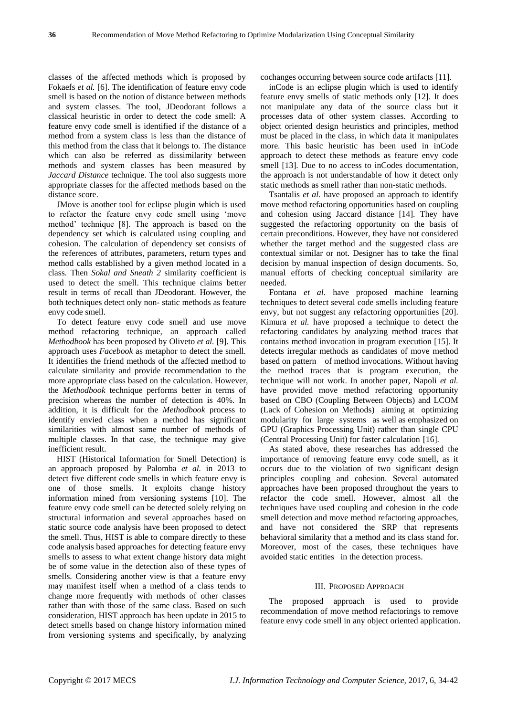classes of the affected methods which is proposed by Fokaefs *et al.* [6]. The identification of feature envy code smell is based on the notion of distance between methods and system classes. The tool, JDeodorant follows a classical heuristic in order to detect the code smell: A feature envy code smell is identified if the distance of a method from a system class is less than the distance of this method from the class that it belongs to. The distance which can also be referred as dissimilarity between methods and system classes has been measured by *Jaccard Distance* technique. The tool also suggests more appropriate classes for the affected methods based on the distance score.

JMove is another tool for eclipse plugin which is used to refactor the feature envy code smell using "move method" technique [8]. The approach is based on the dependency set which is calculated using coupling and cohesion. The calculation of dependency set consists of the references of attributes, parameters, return types and method calls established by a given method located in a class. Then *Sokal and Sneath 2* similarity coefficient is used to detect the smell. This technique claims better result in terms of recall than JDeodorant. However, the both techniques detect only non- static methods as feature envy code smell.

To detect feature envy code smell and use move method refactoring technique, an approach called *Methodbook* has been proposed by Oliveto *et al.* [9]. This approach uses *Facebook* as metaphor to detect the smell. It identifies the friend methods of the affected method to calculate similarity and provide recommendation to the more appropriate class based on the calculation. However, the *Methodbook* technique performs better in terms of precision whereas the number of detection is 40%. In addition, it is difficult for the *Methodbook* process to identify envied class when a method has significant similarities with almost same number of methods of multiple classes. In that case, the technique may give inefficient result.

HIST (Historical Information for Smell Detection) is an approach proposed by Palomba *et al.* in 2013 to detect five different code smells in which feature envy is one of those smells. It exploits change history information mined from versioning systems [10]. The feature envy code smell can be detected solely relying on structural information and several approaches based on static source code analysis have been proposed to detect the smell. Thus, HIST is able to compare directly to these code analysis based approaches for detecting feature envy smells to assess to what extent change history data might be of some value in the detection also of these types of smells. Considering another view is that a feature envy may manifest itself when a method of a class tends to change more frequently with methods of other classes rather than with those of the same class. Based on such consideration, HIST approach has been update in 2015 to detect smells based on change history information mined from versioning systems and specifically, by analyzing

cochanges occurring between source code artifacts [11].

inCode is an eclipse plugin which is used to identify feature envy smells of static methods only [12]. It does not manipulate any data of the source class but it processes data of other system classes. According to object oriented design heuristics and principles, method must be placed in the class, in which data it manipulates more. This basic heuristic has been used in inCode approach to detect these methods as feature envy code smell [13]. Due to no access to inCodes documentation, the approach is not understandable of how it detect only static methods as smell rather than non-static methods.

Tsantalis *et al.* have proposed an approach to identify move method refactoring opportunities based on coupling and cohesion using Jaccard distance [14]. They have suggested the refactoring opportunity on the basis of certain preconditions. However, they have not considered whether the target method and the suggested class are contextual similar or not. Designer has to take the final decision by manual inspection of design documents. So, manual efforts of checking conceptual similarity are needed.

Fontana *et al.* have proposed machine learning techniques to detect several code smells including feature envy, but not suggest any refactoring opportunities [20]. Kimura *et al.* have proposed a technique to detect the refactoring candidates by analyzing method traces that contains method invocation in program execution [15]. It detects irregular methods as candidates of move method based on pattern of method invocations. Without having the method traces that is program execution, the technique will not work. In another paper, Napoli *et al.* have provided move method refactoring opportunity based on CBO (Coupling Between Objects) and LCOM (Lack of Cohesion on Methods) aiming at optimizing modularity for large systems as well as emphasized on GPU (Graphics Processing Unit) rather than single CPU (Central Processing Unit) for faster calculation [16].

As stated above, these researches has addressed the importance of removing feature envy code smell, as it occurs due to the violation of two significant design principles coupling and cohesion. Several automated approaches have been proposed throughout the years to refactor the code smell. However, almost all the techniques have used coupling and cohesion in the code smell detection and move method refactoring approaches, and have not considered the SRP that represents behavioral similarity that a method and its class stand for. Moreover, most of the cases, these techniques have avoided static entities in the detection process.

## III. PROPOSED APPROACH

The proposed approach is used to provide recommendation of move method refactorings to remove feature envy code smell in any object oriented application.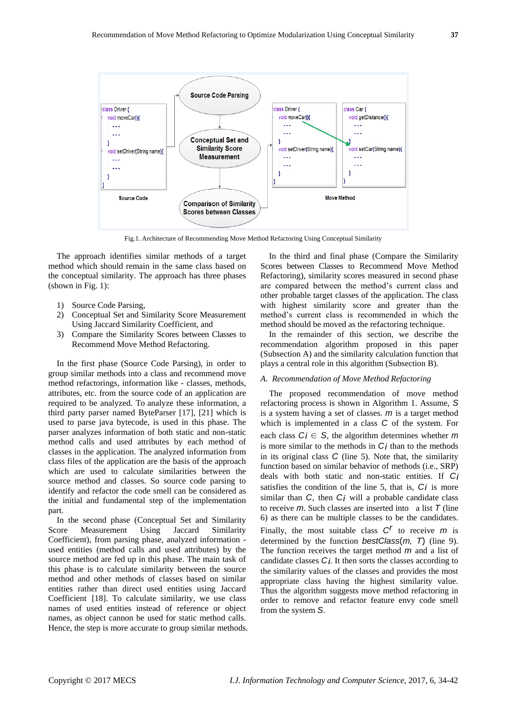

Fig.1. Architecture of Recommending Move Method Refactoring Using Conceptual Similarity

The approach identifies similar methods of a target method which should remain in the same class based on the conceptual similarity. The approach has three phases (shown in Fig. 1):

- 1) Source Code Parsing,
- 2) Conceptual Set and Similarity Score Measurement Using Jaccard Similarity Coefficient, and
- 3) Compare the Similarity Scores between Classes to Recommend Move Method Refactoring.

In the first phase (Source Code Parsing), in order to group similar methods into a class and recommend move method refactorings, information like - classes, methods, attributes, etc. from the source code of an application are required to be analyzed. To analyze these information, a third party parser named ByteParser [17], [21] which is used to parse java bytecode, is used in this phase. The parser analyzes information of both static and non-static method calls and used attributes by each method of classes in the application. The analyzed information from class files of the application are the basis of the approach which are used to calculate similarities between the source method and classes. So source code parsing to identify and refactor the code smell can be considered as the initial and fundamental step of the implementation part.

In the second phase (Conceptual Set and Similarity Score Measurement Using Jaccard Similarity Coefficient), from parsing phase, analyzed information used entities (method calls and used attributes) by the source method are fed up in this phase. The main task of this phase is to calculate similarity between the source method and other methods of classes based on similar entities rather than direct used entities using Jaccard Coefficient [18]. To calculate similarity, we use class names of used entities instead of reference or object names, as object cannon be used for static method calls. Hence, the step is more accurate to group similar methods.

In the third and final phase (Compare the Similarity Scores between Classes to Recommend Move Method Refactoring), similarity scores measured in second phase are compared between the method"s current class and other probable target classes of the application. The class with highest similarity score and greater than the method"s current class is recommended in which the method should be moved as the refactoring technique.

In the remainder of this section, we describe the recommendation algorithm proposed in this paper (Subsection A) and the similarity calculation function that plays a central role in this algorithm (Subsection B).

# *A. Recommendation of Move Method Refactoring*

The proposed recommendation of move method refactoring process is shown in Algorithm 1. Assume, *S*  is a system having a set of classes. *m* is a target method which is implemented in a class *C* of the system. For each class  $C_j \in S$ , the algorithm determines whether *m* is more similar to the methods in *Ci* than to the methods in its original class *C* (line 5). Note that, the similarity function based on similar behavior of methods (i.e., SRP) deals with both static and non-static entities. If *Ci*  satisfies the condition of the line 5, that is, *Ci* is more similar than *C*, then *Ci* will a probable candidate class to receive *m*. Such classes are inserted into a list *T* (line 6) as there can be multiple classes to be the candidates. Finally, the most suitable class  $C^r$  to receive *m* is determined by the function *bestClass*(*m, T*) (line 9). The function receives the target method *m* and a list of candidate classes *Ci*. It then sorts the classes according to the similarity values of the classes and provides the most appropriate class having the highest similarity value. Thus the algorithm suggests move method refactoring in order to remove and refactor feature envy code smell from the system *S*.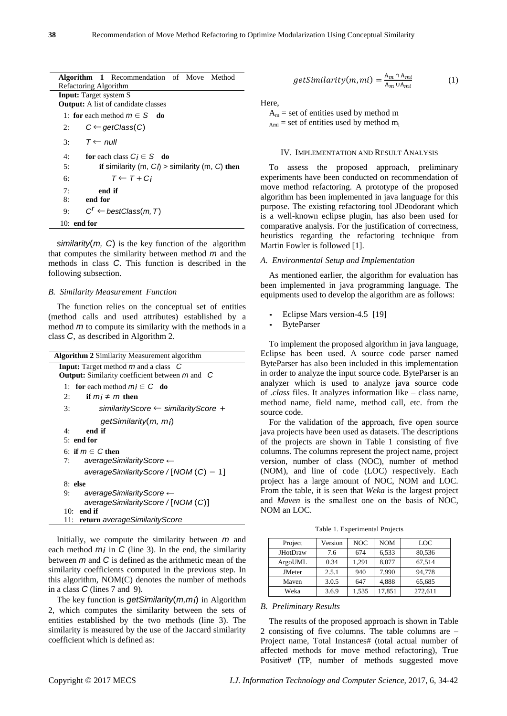|                                            | Algorithm 1 Recommendation of Move Method         |  |  |  |
|--------------------------------------------|---------------------------------------------------|--|--|--|
| Refactoring Algorithm                      |                                                   |  |  |  |
| <b>Input:</b> Target system S              |                                                   |  |  |  |
| <b>Output:</b> A list of candidate classes |                                                   |  |  |  |
|                                            | 1: for each method $m \in S$ do                   |  |  |  |
| 2:                                         | $C \leftarrow getClass(C)$                        |  |  |  |
|                                            | 3: $T \leftarrow null$                            |  |  |  |
| 4:                                         | for each class $Ci \in S$ do                      |  |  |  |
| 5:                                         | if similarity (m, $Ci$ ) > similarity (m, C) then |  |  |  |
| б:                                         | $T \leftarrow T + Ci$                             |  |  |  |
| 7:                                         | end if                                            |  |  |  |
| 8:                                         | end for                                           |  |  |  |
| 9:                                         | $C^r \leftarrow$ bestClass(m, T)                  |  |  |  |
|                                            | $10:$ end for                                     |  |  |  |

*similarity*(*m, C*) is the key function of the algorithm that computes the similarity between method *m* and the methods in class *C*. This function is described in the following subsection.

## *B. Similarity Measurement Function*

The function relies on the conceptual set of entities (method calls and used attributes) established by a method *m* to compute its similarity with the methods in a class *C*, as described in Algorithm 2.

| <b>Algorithm 2 Similarity Measurement algorithm</b>                                                                                             |  |  |  |
|-------------------------------------------------------------------------------------------------------------------------------------------------|--|--|--|
| <b>Input:</b> Target method $m$ and a class $C$<br><b>Output:</b> Similarity coefficient between $m$ and $C$                                    |  |  |  |
| 1: for each method $m_i \in C$ do                                                                                                               |  |  |  |
| 2:<br>if $mi \neq m$ then                                                                                                                       |  |  |  |
| similarityScore ← similarityScore +<br>3:                                                                                                       |  |  |  |
| getSimilarity(m, mj)<br>end if<br>4.<br>$5:$ end for                                                                                            |  |  |  |
| 6: if $m \in C$ then<br>averageSimilarityScore $\leftarrow$<br>7:                                                                               |  |  |  |
| averageSimilarityScore / [NOM $(C) - 1$ ]                                                                                                       |  |  |  |
| 8: else<br>averageSimilarityScore $\leftarrow$<br>9:<br>averageSimilarityScore / [NOM (C)]<br>$10:$ end if<br>11: return averageSimilarityScore |  |  |  |

Initially, we compute the similarity between *m* and each method *m<sub>i</sub>* in *C* (line 3). In the end, the similarity between *m* and *C* is defined as the arithmetic mean of the similarity coefficients computed in the previous step. In this algorithm, NOM(C) denotes the number of methods in a class *C* (lines 7 and 9).

The key function is *getSimilarity*(*m,mi*) in Algorithm 2, which computes the similarity between the sets of entities established by the two methods (line 3). The similarity is measured by the use of the Jaccard similarity coefficient which is defined as:

$$
getSimilarity(m, mi) = \frac{A_m \cap A_{mi}}{A_m \cup A_{mi}} \tag{1}
$$

## Here,

 $A_m$  = set of entities used by method m  $_{\text{Ami}}$  = set of entities used by method m<sub>i</sub>

## IV. IMPLEMENTATION AND RESULT ANALYSIS

To assess the proposed approach, preliminary experiments have been conducted on recommendation of move method refactoring. A prototype of the proposed algorithm has been implemented in java language for this purpose. The existing refactoring tool JDeodorant which is a well-known eclipse plugin, has also been used for comparative analysis. For the justification of correctness, heuristics regarding the refactoring technique from Martin Fowler is followed [1].

## *A. Environmental Setup and Implementation*

As mentioned earlier, the algorithm for evaluation has been implemented in java programming language. The equipments used to develop the algorithm are as follows:

- **Eclipse Mars version-4.5 [19]**
- *•* ByteParser

To implement the proposed algorithm in java language, Eclipse has been used. A source code parser named ByteParser has also been included in this implementation in order to analyze the input source code. ByteParser is an analyzer which is used to analyze java source code of *.class* files. It analyzes information like – class name, method name, field name, method call, etc. from the source code.

For the validation of the approach, five open source java projects have been used as datasets. The descriptions of the projects are shown in Table 1 consisting of five columns. The columns represent the project name, project version, number of class (NOC), number of method (NOM), and line of code (LOC) respectively. Each project has a large amount of NOC, NOM and LOC. From the table, it is seen that *Weka* is the largest project and *Maven* is the smallest one on the basis of NOC, NOM an LOC.

Table 1. Experimental Projects

| Project         | Version | <b>NOC</b> | <b>NOM</b> | LOC     |
|-----------------|---------|------------|------------|---------|
| <b>JHotDraw</b> | 7.6     | 674        | 6,533      | 80,536  |
| ArgoUML         | 0.34    | 1,291      | 8,077      | 67,514  |
| <b>JMeter</b>   | 2.5.1   | 940        | 7.990      | 94.778  |
| Maven           | 3.0.5   | 647        | 4,888      | 65,685  |
| Weka            | 3.6.9   | 1,535      | 17,851     | 272,611 |

## *B. Preliminary Results*

The results of the proposed approach is shown in Table 2 consisting of five columns. The table columns are – Project name, Total Instances# (total actual number of affected methods for move method refactoring), True Positive# (TP, number of methods suggested move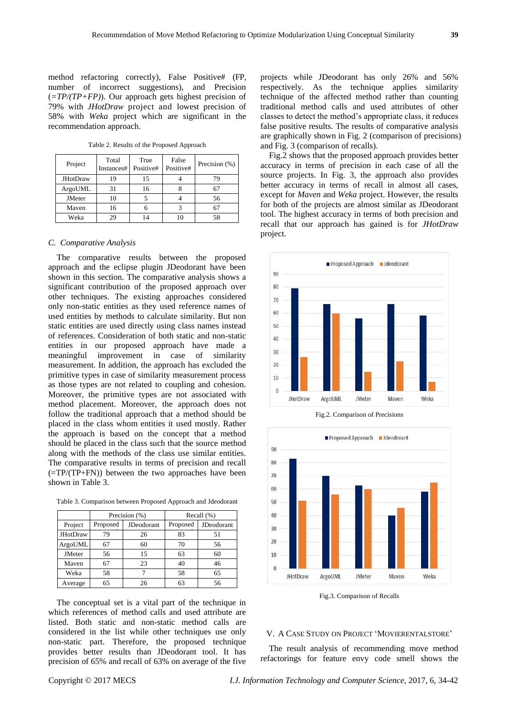method refactoring correctly), False Positive# (FP, number of incorrect suggestions), and Precision (*=TP/(TP+FP)*). Our approach gets highest precision of 79% with *JHotDraw* project and lowest precision of 58% with *Weka* project which are significant in the recommendation approach.

Table 2. Results of the Proposed Approach

| Project         | Total<br>Instances# | True<br>Positive# | False<br>Positive# | Precision (%) |
|-----------------|---------------------|-------------------|--------------------|---------------|
| <b>JHotDraw</b> | 19                  | 15                |                    | 79            |
| ArgoUML         | 31                  | 16                |                    | 67            |
| <b>JMeter</b>   | 10                  |                   |                    | 56            |
| Maven           | 16                  |                   | 3                  | 67            |
| Weka            | 29                  | $\overline{4}$    | 10                 | 58            |

### *C. Comparative Analysis*

The comparative results between the proposed approach and the eclipse plugin JDeodorant have been shown in this section. The comparative analysis shows a significant contribution of the proposed approach over other techniques. The existing approaches considered only non-static entities as they used reference names of used entities by methods to calculate similarity. But non static entities are used directly using class names instead of references. Consideration of both static and non-static entities in our proposed approach have made a meaningful improvement in case of similarity measurement. In addition, the approach has excluded the primitive types in case of similarity measurement process as those types are not related to coupling and cohesion. Moreover, the primitive types are not associated with method placement. Moreover, the approach does not follow the traditional approach that a method should be placed in the class whom entities it used mostly. Rather the approach is based on the concept that a method should be placed in the class such that the source method along with the methods of the class use similar entities. The comparative results in terms of precision and recall (=TP/(TP+FN)) between the two approaches have been shown in Table 3.

|                 | Precision (%) |            | Recall $(\%)$ |            |
|-----------------|---------------|------------|---------------|------------|
| Project         | Proposed      | JDeodorant | Proposed      | JDeodorant |
| <b>JHotDraw</b> | 79            | 26         | 83            | 51         |
| ArgoUML         | 67            | 60         | 70            | 56         |
| <b>JMeter</b>   | 56            | 15         | 63            | 60         |
| Maven           | 67            | 23         | 40            | 46         |
| Weka            | 58            |            | 58            | 65         |
| Average         | 65            | 26         | 63            | 56         |

The conceptual set is a vital part of the technique in which references of method calls and used attribute are listed. Both static and non-static method calls are considered in the list while other techniques use only non-static part. Therefore, the proposed technique provides better results than JDeodorant tool. It has precision of 65% and recall of 63% on average of the five

projects while JDeodorant has only 26% and 56% respectively. As the technique applies similarity technique of the affected method rather than counting traditional method calls and used attributes of other classes to detect the method"s appropriate class, it reduces false positive results. The results of comparative analysis are graphically shown in Fig. 2 (comparison of precisions) and Fig. 3 (comparison of recalls).

Fig.2 shows that the proposed approach provides better accuracy in terms of precision in each case of all the source projects. In Fig. 3, the approach also provides better accuracy in terms of recall in almost all cases, except for *Maven* and *Weka* project. However, the results for both of the projects are almost similar as JDeodorant tool. The highest accuracy in terms of both precision and recall that our approach has gained is for *JHotDraw* project.



Fig.2. Comparison of Precisions



Fig.3. Comparison of Recalls

#### V. A CASE STUDY ON PROJECT "MOVIERENTALSTORE"

The result analysis of recommending move method refactorings for feature envy code smell shows the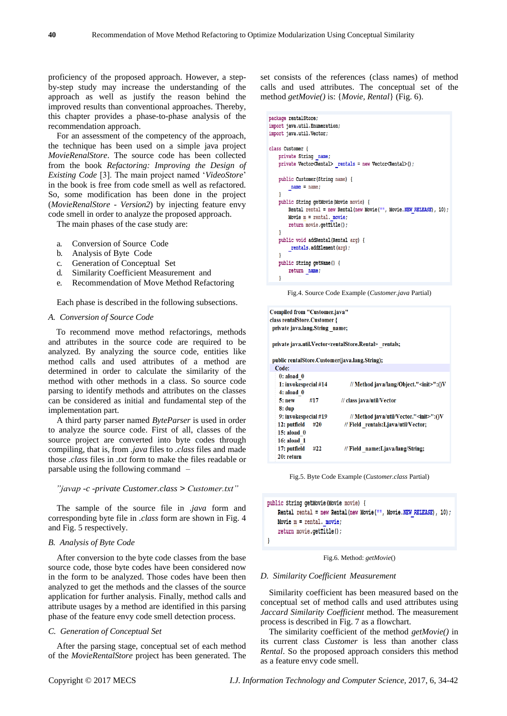proficiency of the proposed approach. However, a stepby-step study may increase the understanding of the approach as well as justify the reason behind the improved results than conventional approaches. Thereby, this chapter provides a phase-to-phase analysis of the recommendation approach.

For an assessment of the competency of the approach, the technique has been used on a simple java project *MovieRenalStore*. The source code has been collected from the book *Refactoring: Improving the Design of Existing Code* [3]. The main project named '*VideoStore*' in the book is free from code smell as well as refactored. So, some modification has been done in the project (*MovieRenalStore - Version2*) by injecting feature envy code smell in order to analyze the proposed approach.

The main phases of the case study are:

- a. Conversion of Source Code
- b. Analysis of Byte Code
- c. Generation of Conceptual Set
- d. Similarity Coefficient Measurement and
- e. Recommendation of Move Method Refactoring

Each phase is described in the following subsections.

## *A. Conversion of Source Code*

To recommend move method refactorings, methods and attributes in the source code are required to be analyzed. By analyzing the source code, entities like method calls and used attributes of a method are determined in order to calculate the similarity of the method with other methods in a class. So source code parsing to identify methods and attributes on the classes can be considered as initial and fundamental step of the implementation part.

A third party parser named *ByteParser* is used in order to analyze the source code. First of all, classes of the source project are converted into byte codes through compiling, that is, from *.java* files to *.class* files and made those *.class* files in *.txt* form to make the files readable or parsable using the following command –

## *"javap -c -private Customer.class > Customer.txt"*

The sample of the source file in *.java* form and corresponding byte file in *.class* form are shown in Fig. 4 and Fig. 5 respectively.

## *B. Analysis of Byte Code*

After conversion to the byte code classes from the base source code, those byte codes have been considered now in the form to be analyzed. Those codes have been then analyzed to get the methods and the classes of the source application for further analysis. Finally, method calls and attribute usages by a method are identified in this parsing phase of the feature envy code smell detection process.

# *C. Generation of Conceptual Set*

After the parsing stage, conceptual set of each method of the *MovieRentalStore* project has been generated. The set consists of the references (class names) of method calls and used attributes. The conceptual set of the method *getMovie()* is: {*Movie, Rental*} (Fig. 6).

```
package rentalStore:
import java.util.Enumeration;
import java.util.Vector;
class Customer {
    private String name;
    private Vector<Rental> rentals = new Vector<Rental>();
    public Customer (String name) {
        name = name:
    public String getMovie (Movie movie) {
        Rental rental = new Rental (new Movie ("", Movie. NEW RELEASE), 10);
        Movie m = rental. movie;
        return movie.getTitle();
    public void addRental (Rental arg) {
        rentals.addElement(arg);
    public String getName() {
        return name;
    \mathbf{1}
```
Fig.4. Source Code Example (*Customer.java* Partial)

```
Compiled from "Customer.java"
class rentalStore.Customer {
 private java.lang.String name;
```
private java.util.Vector<rentalStore.Rental> rentals;

```
public rentalStore.Customer(java.lang.String);
```

| Code:                |                                                 |
|----------------------|-------------------------------------------------|
| $0:$ aload $0$       |                                                 |
| 1: invokespecial #14 | // Method java/lang/Object." <init>":0V</init>  |
| $4:$ aload $0$       |                                                 |
| 5: new<br>#17        | // class java/util/Vector                       |
| $8:$ dup             |                                                 |
| 9: invokespecial #19 | // Method java/util/Vector." <init>":()V</init> |
| 12: putfield<br>#20  | // Field rentals:Ljava/util/Vector;             |
| $15:$ aload $0$      |                                                 |
| 16: aload 1          |                                                 |
| 17: putfield<br>#22  | // Field name:Ljava/lang/String;                |
| 20: refurn           |                                                 |
|                      |                                                 |

Fig.5. Byte Code Example (*Customer.class* Partial)

```
public String getMovie (Movie movie) {
    Rental rental = new Rental(new Movie("", Movie. NEW RELEASE), 10);
    Movie m = \text{rental. movie};
    return movie.getTitle();
-1
```
Fig.6. Method: *getMovie*()

## *D. Similarity Coefficient Measurement*

Similarity coefficient has been measured based on the conceptual set of method calls and used attributes using *Jaccard Similarity Coefficient* method. The measurement process is described in Fig. 7 as a flowchart.

The similarity coefficient of the method *getMovie()* in its current class *Customer* is less than another class *Rental*. So the proposed approach considers this method as a feature envy code smell.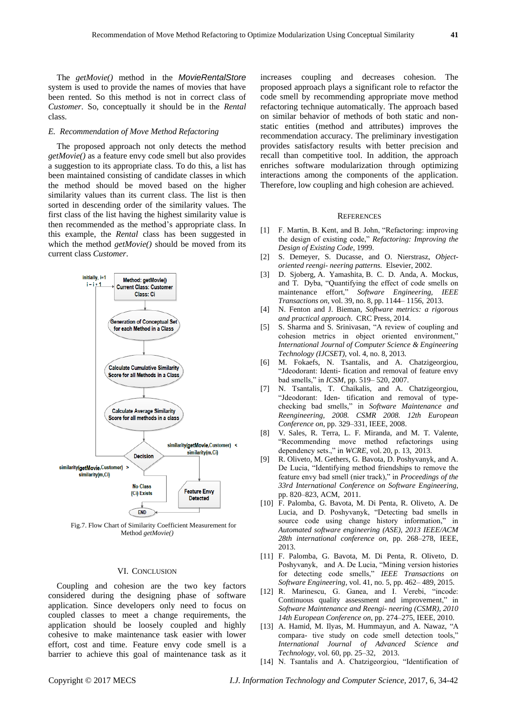The *getMovie()* method in the *MovieRentalStore*  system is used to provide the names of movies that have been rented. So this method is not in correct class of *Customer*. So, conceptually it should be in the *Rental*  class.

## *E. Recommendation of Move Method Refactoring*

The proposed approach not only detects the method *getMovie()* as a feature envy code smell but also provides a suggestion to its appropriate class. To do this, a list has been maintained consisting of candidate classes in which the method should be moved based on the higher similarity values than its current class. The list is then sorted in descending order of the similarity values. The first class of the list having the highest similarity value is then recommended as the method"s appropriate class. In this example, the *Rental* class has been suggested in which the method *getMovie()* should be moved from its current class *Customer*.



Fig.7. Flow Chart of Similarity Coefficient Measurement for Method *getMovie()*

# VI. CONCLUSION

Coupling and cohesion are the two key factors considered during the designing phase of software application. Since developers only need to focus on coupled classes to meet a change requirements, the application should be loosely coupled and highly cohesive to make maintenance task easier with lower effort, cost and time. Feature envy code smell is a barrier to achieve this goal of maintenance task as it increases coupling and decreases cohesion. The proposed approach plays a significant role to refactor the code smell by recommending appropriate move method refactoring technique automatically. The approach based on similar behavior of methods of both static and nonstatic entities (method and attributes) improves the recommendation accuracy. The preliminary investigation provides satisfactory results with better precision and recall than competitive tool. In addition, the approach enriches software modularization through optimizing interactions among the components of the application. Therefore, low coupling and high cohesion are achieved.

#### **REFERENCES**

- [1] F. Martin, B. Kent, and B. John, "Refactoring: improving the design of existing code," *Refactoring: Improving the Design of Existing Code*, 1999.
- [2] S. Demeyer, S. Ducasse, and O. Nierstrasz, *Objectoriented reengi- neering patterns*. Elsevier, 2002.
- [3] D. Sjoberg, A. Yamashita, B. C. D. Anda, A. Mockus, and T. Dyba, "Quantifying the effect of code smells on maintenance effort," *Software Engineering, IEEE Transactions on*, vol. 39, no. 8, pp. 1144– 1156, 2013.
- [4] N. Fenton and J. Bieman, *Software metrics: a rigorous and practical approach*. CRC Press, 2014.
- [5] S. Sharma and S. Srinivasan, "A review of coupling and cohesion metrics in object oriented environment," *International Journal of Computer Science & Engineering Technology (IJCSET)*, vol. 4, no. 8, 2013.
- [6] M. Fokaefs, N. Tsantalis, and A. Chatzigeorgiou, "Jdeodorant: Identi- fication and removal of feature envy bad smells," in *ICSM*, pp. 519– 520, 2007.
- [7] N. Tsantalis, T. Chaikalis, and A. Chatzigeorgiou, "Jdeodorant: Iden- tification and removal of typechecking bad smells," in *Software Maintenance and Reengineering, 2008. CSMR 2008. 12th European Conference on*, pp. 329–331, IEEE, 2008.
- [8] V. Sales, R. Terra, L. F. Miranda, and M. T. Valente, "Recommending move method refactorings using dependency sets.," in *WCRE*, vol. 20, p. 13, 2013.
- [9] R. Oliveto, M. Gethers, G. Bavota, D. Poshyvanyk, and A. De Lucia, "Identifying method friendships to remove the feature envy bad smell (nier track)," in *Proceedings of the 33rd International Conference on Software Engineering*, pp. 820–823, ACM, 2011.
- [10] F. Palomba, G. Bavota, M. Di Penta, R. Oliveto, A. De Lucia, and D. Poshyvanyk, "Detecting bad smells in source code using change history information," in *Automated software engineering (ASE), 2013 IEEE/ACM 28th international conference on*, pp. 268–278, IEEE, 2013.
- [11] F. Palomba, G. Bavota, M. Di Penta, R. Oliveto, D. Poshyvanyk, and A. De Lucia, "Mining version histories for detecting code smells," *IEEE Transactions on Software Engineering*, vol. 41, no. 5, pp. 462– 489, 2015.
- [12] R. Marinescu, G. Ganea, and I. Verebi, "incode: Continuous quality assessment and improvement," in *Software Maintenance and Reengi- neering (CSMR), 2010 14th European Conference on*, pp. 274–275, IEEE, 2010.
- [13] A. Hamid, M. Ilyas, M. Hummayun, and A. Nawaz, "A compara- tive study on code smell detection tools," *International Journal of Advanced Science and Technology*, vol. 60, pp. 25–32, 2013.
- [14] N. Tsantalis and A. Chatzigeorgiou, "Identification of